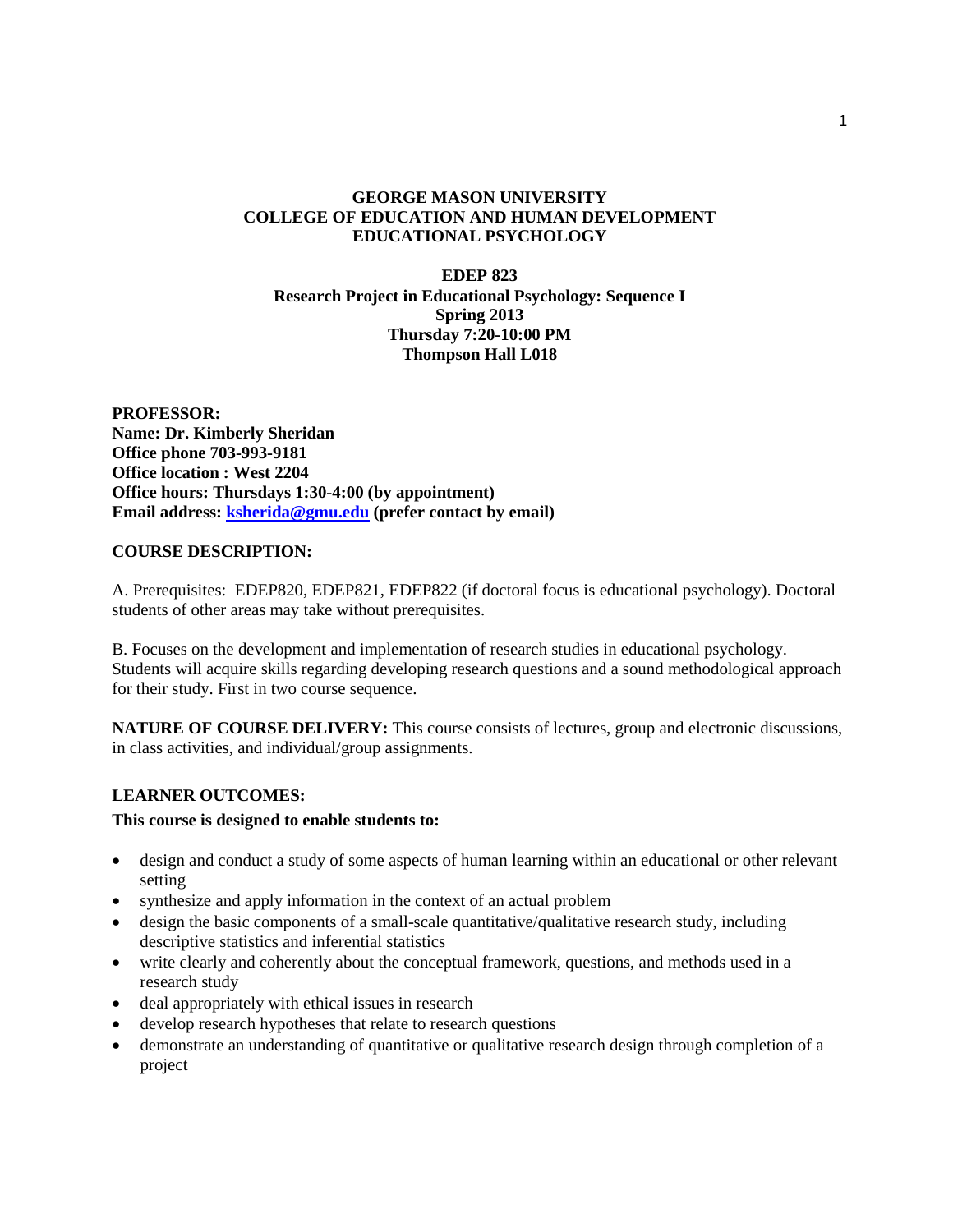### **GEORGE MASON UNIVERSITY COLLEGE OF EDUCATION AND HUMAN DEVELOPMENT EDUCATIONAL PSYCHOLOGY**

### **EDEP 823 Research Project in Educational Psychology: Sequence I Spring 2013 Thursday 7:20-10:00 PM Thompson Hall L018**

**PROFESSOR: Name: Dr. Kimberly Sheridan Office phone 703-993-9181 Office location : West 2204 Office hours: Thursdays 1:30-4:00 (by appointment) Email address: [ksherida@gmu.edu](mailto:ksherida@gmu.edu) (prefer contact by email)**

### **COURSE DESCRIPTION:**

A. Prerequisites: EDEP820, EDEP821, EDEP822 (if doctoral focus is educational psychology). Doctoral students of other areas may take without prerequisites.

B. Focuses on the development and implementation of research studies in educational psychology. Students will acquire skills regarding developing research questions and a sound methodological approach for their study. First in two course sequence.

**NATURE OF COURSE DELIVERY:** This course consists of lectures, group and electronic discussions, in class activities, and individual/group assignments.

## **LEARNER OUTCOMES:**

### **This course is designed to enable students to:**

- design and conduct a study of some aspects of human learning within an educational or other relevant setting
- synthesize and apply information in the context of an actual problem
- design the basic components of a small-scale quantitative/qualitative research study, including descriptive statistics and inferential statistics
- write clearly and coherently about the conceptual framework, questions, and methods used in a research study
- deal appropriately with ethical issues in research
- develop research hypotheses that relate to research questions
- demonstrate an understanding of quantitative or qualitative research design through completion of a project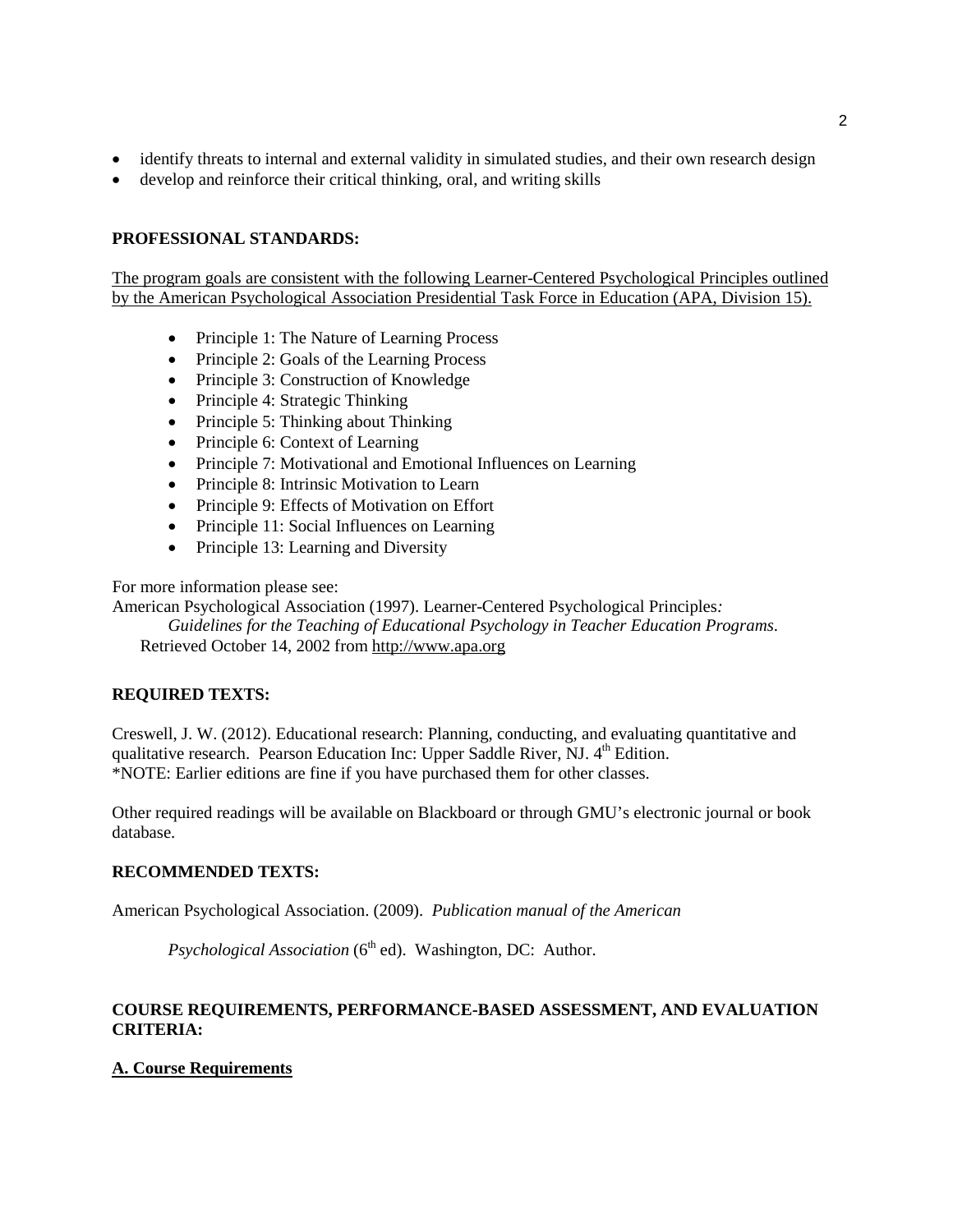- identify threats to internal and external validity in simulated studies, and their own research design
- develop and reinforce their critical thinking, oral, and writing skills

## **PROFESSIONAL STANDARDS:**

The program goals are consistent with the following Learner-Centered Psychological Principles outlined by the American Psychological Association Presidential Task Force in Education (APA, Division 15).

- Principle 1: The Nature of Learning Process
- Principle 2: Goals of the Learning Process
- Principle 3: Construction of Knowledge
- Principle 4: Strategic Thinking
- Principle 5: Thinking about Thinking
- Principle 6: Context of Learning
- Principle 7: Motivational and Emotional Influences on Learning
- Principle 8: Intrinsic Motivation to Learn
- Principle 9: Effects of Motivation on Effort
- Principle 11: Social Influences on Learning
- Principle 13: Learning and Diversity

For more information please see:

American Psychological Association (1997). Learner-Centered Psychological Principles*:* 

*Guidelines for the Teaching of Educational Psychology in Teacher Education Programs*. Retrieved October 14, 2002 from [http://www.apa.org](http://www.apa.org/)

## **REQUIRED TEXTS:**

Creswell, J. W. (2012). Educational research: Planning, conducting, and evaluating quantitative and qualitative research. Pearson Education Inc: Upper Saddle River, NJ.  $4<sup>th</sup>$  Edition. \*NOTE: Earlier editions are fine if you have purchased them for other classes.

Other required readings will be available on Blackboard or through GMU's electronic journal or book database.

## **RECOMMENDED TEXTS:**

American Psychological Association. (2009). *Publication manual of the American* 

*Psychological Association* (6<sup>th</sup> ed). Washington, DC: Author.

## **COURSE REQUIREMENTS, PERFORMANCE-BASED ASSESSMENT, AND EVALUATION CRITERIA:**

## **A. Course Requirements**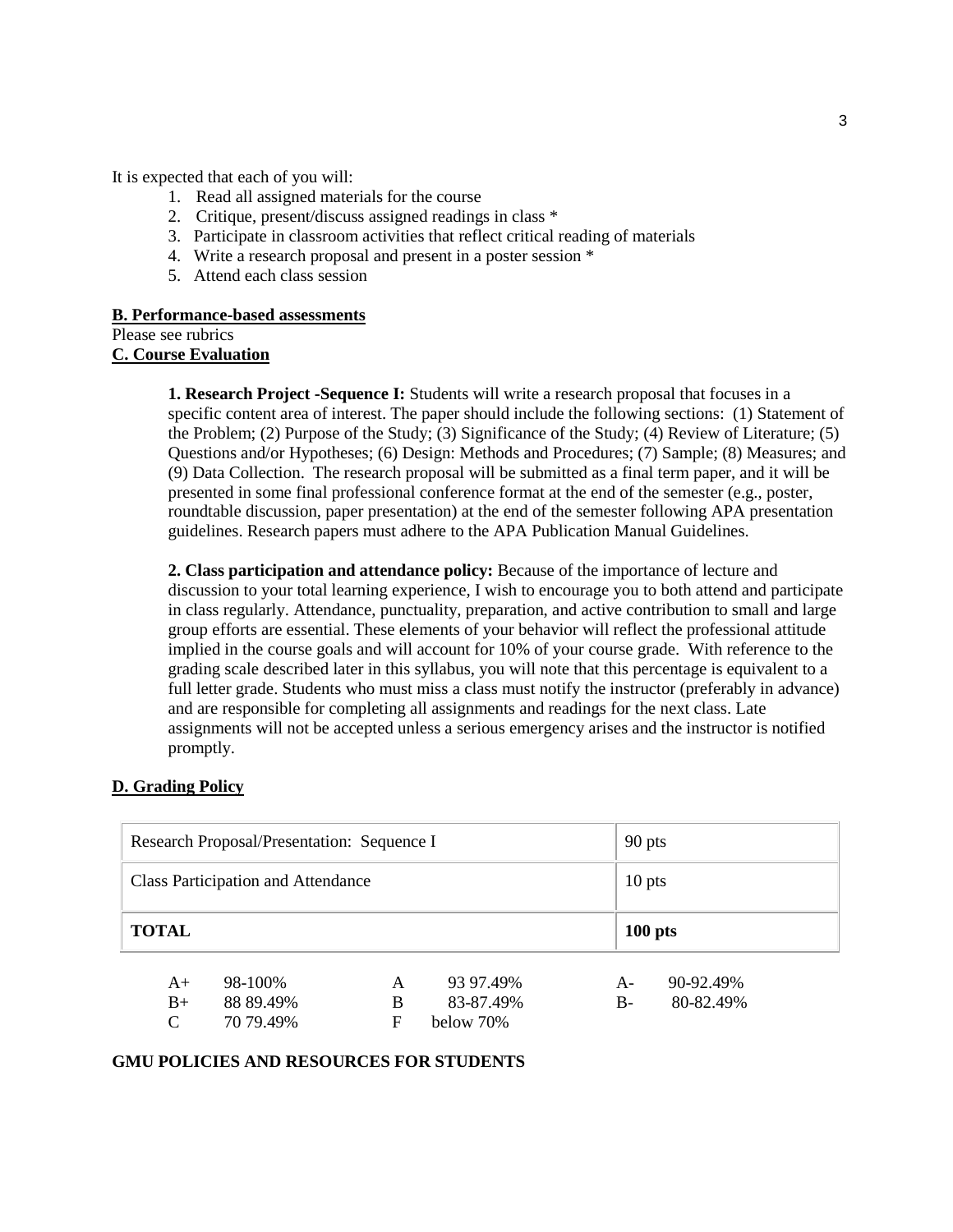It is expected that each of you will:

- 1. Read all assigned materials for the course
- 2. Critique, present/discuss assigned readings in class \*
- 3. Participate in classroom activities that reflect critical reading of materials
- 4. Write a research proposal and present in a poster session \*
- 5. Attend each class session

#### **B. Performance-based assessments**

```
Please see rubrics
```
## **C. Course Evaluation**

**1. Research Project -Sequence I:** Students will write a research proposal that focuses in a specific content area of interest. The paper should include the following sections: (1) Statement of the Problem; (2) Purpose of the Study; (3) Significance of the Study; (4) Review of Literature; (5) Questions and/or Hypotheses; (6) Design: Methods and Procedures; (7) Sample; (8) Measures; and (9) Data Collection. The research proposal will be submitted as a final term paper, and it will be presented in some final professional conference format at the end of the semester (e.g., poster, roundtable discussion, paper presentation) at the end of the semester following APA presentation guidelines. Research papers must adhere to the APA Publication Manual Guidelines.

**2. Class participation and attendance policy:** Because of the importance of lecture and discussion to your total learning experience, I wish to encourage you to both attend and participate in class regularly. Attendance, punctuality, preparation, and active contribution to small and large group efforts are essential. These elements of your behavior will reflect the professional attitude implied in the course goals and will account for 10% of your course grade. With reference to the grading scale described later in this syllabus, you will note that this percentage is equivalent to a full letter grade. Students who must miss a class must notify the instructor (preferably in advance) and are responsible for completing all assignments and readings for the next class. Late assignments will not be accepted unless a serious emergency arises and the instructor is notified promptly.

### **D. Grading Policy**

| Research Proposal/Presentation: Sequence I |                      |        |                        |                | 90 pts                 |  |  |
|--------------------------------------------|----------------------|--------|------------------------|----------------|------------------------|--|--|
| <b>Class Participation and Attendance</b>  |                      |        |                        |                | $10$ pts               |  |  |
| <b>TOTAL</b>                               |                      |        |                        |                | $100$ pts              |  |  |
| $A+$<br>$B+$                               | 98-100%<br>88 89.49% | A<br>B | 93 97.49%<br>83-87.49% | $A -$<br>$B -$ | 90-92.49%<br>80-82.49% |  |  |
| C                                          | 70 79.49%            | F      | $below 70\%$           |                |                        |  |  |

### **GMU POLICIES AND RESOURCES FOR STUDENTS**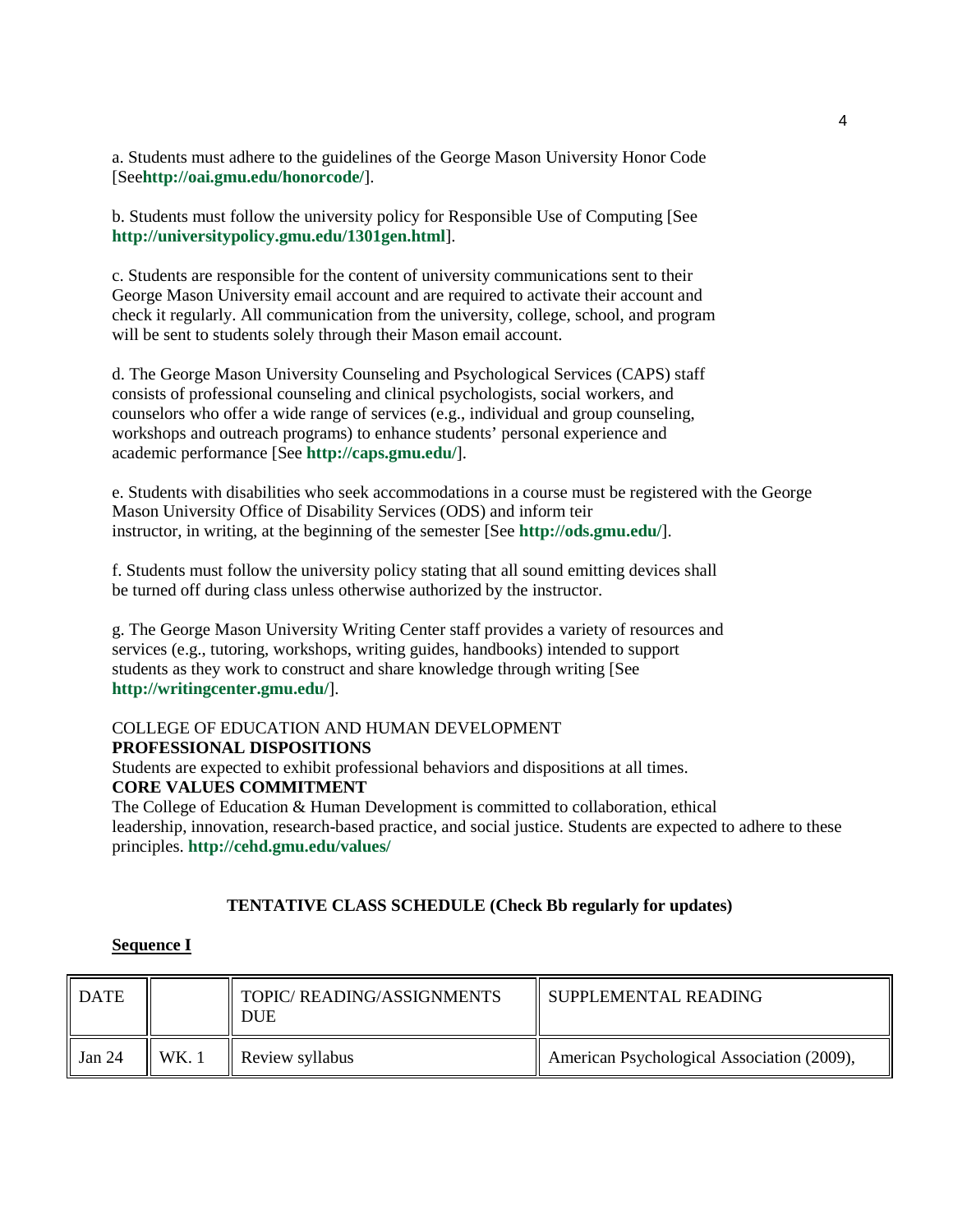a. Students must adhere to the guidelines of the George Mason University Honor Code [See**http://oai.gmu.edu/honorcode/**].

b. Students must follow the university policy for Responsible Use of Computing [See **http://universitypolicy.gmu.edu/1301gen.html**].

c. Students are responsible for the content of university communications sent to their George Mason University email account and are required to activate their account and check it regularly. All communication from the university, college, school, and program will be sent to students solely through their Mason email account.

d. The George Mason University Counseling and Psychological Services (CAPS) staff consists of professional counseling and clinical psychologists, social workers, and counselors who offer a wide range of services (e.g., individual and group counseling, workshops and outreach programs) to enhance students' personal experience and academic performance [See **http://caps.gmu.edu/**].

e. Students with disabilities who seek accommodations in a course must be registered with the George Mason University Office of Disability Services (ODS) and inform teir instructor, in writing, at the beginning of the semester [See **http://ods.gmu.edu/**].

f. Students must follow the university policy stating that all sound emitting devices shall be turned off during class unless otherwise authorized by the instructor.

g. The George Mason University Writing Center staff provides a variety of resources and services (e.g., tutoring, workshops, writing guides, handbooks) intended to support students as they work to construct and share knowledge through writing [See **http://writingcenter.gmu.edu/**].

## COLLEGE OF EDUCATION AND HUMAN DEVELOPMENT **PROFESSIONAL DISPOSITIONS**

Students are expected to exhibit professional behaviors and dispositions at all times. **CORE VALUES COMMITMENT** The College of Education & Human Development is committed to collaboration, ethical

leadership, innovation, research-based practice, and social justice. Students are expected to adhere to these principles. **http://cehd.gmu.edu/values/**

### **TENTATIVE CLASS SCHEDULE (Check Bb regularly for updates)**

### **Sequence I**

| DATE   |      | TOPIC/READING/ASSIGNMENTS<br><b>DUE</b> | II SUPPLEMENTAL READING                    |
|--------|------|-----------------------------------------|--------------------------------------------|
| Jan 24 | WK.1 | $\parallel$ Review syllabus             | American Psychological Association (2009), |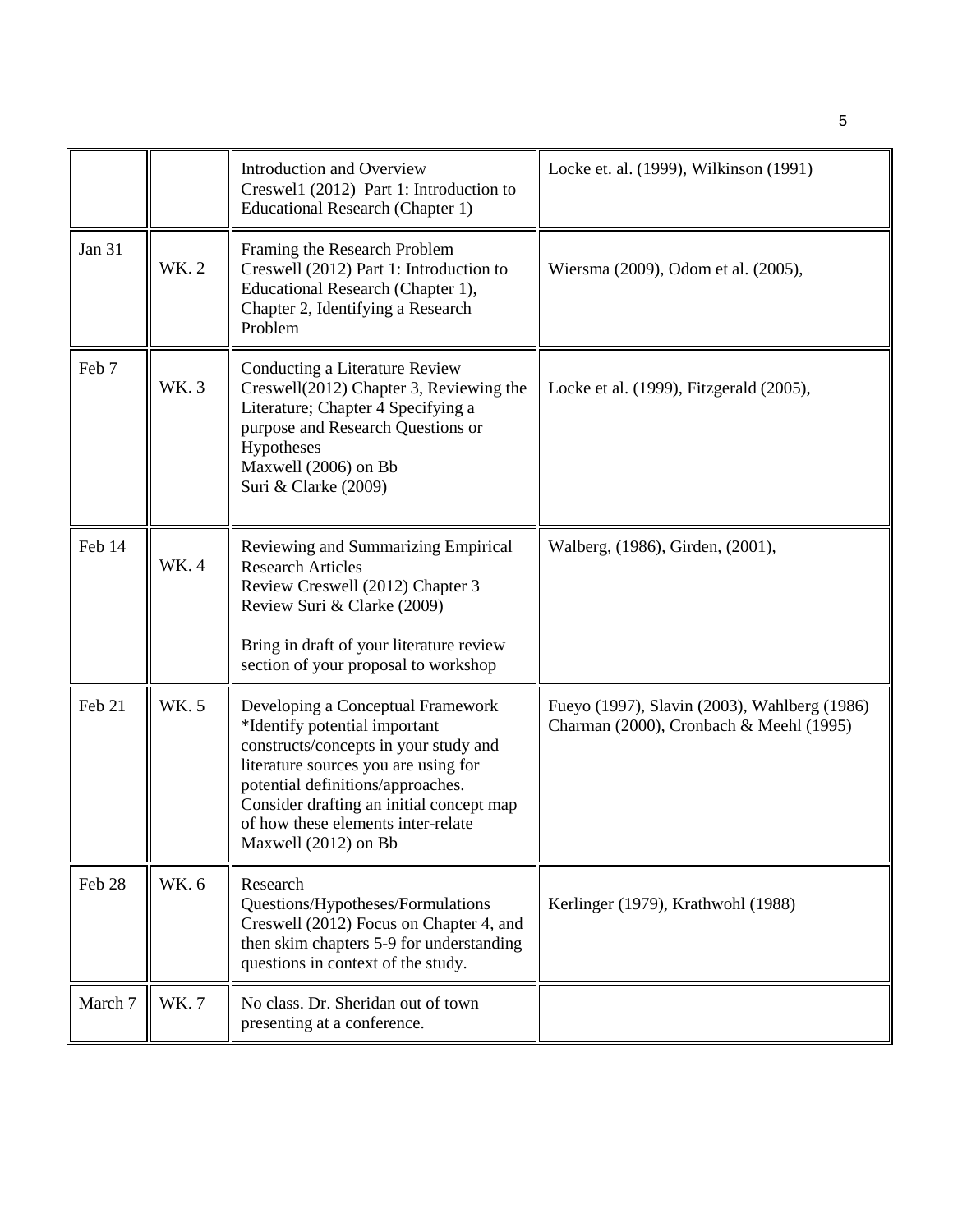|               |             | <b>Introduction and Overview</b><br>Creswell (2012) Part 1: Introduction to<br><b>Educational Research (Chapter 1)</b>                                                                                                                                                                             | Locke et. al. (1999), Wilkinson (1991)                                                  |
|---------------|-------------|----------------------------------------------------------------------------------------------------------------------------------------------------------------------------------------------------------------------------------------------------------------------------------------------------|-----------------------------------------------------------------------------------------|
| <b>Jan 31</b> | WK. 2       | Framing the Research Problem<br>Creswell (2012) Part 1: Introduction to<br>Educational Research (Chapter 1),<br>Chapter 2, Identifying a Research<br>Problem                                                                                                                                       | Wiersma (2009), Odom et al. (2005),                                                     |
| Feb 7         | WK. 3       | Conducting a Literature Review<br>Creswell(2012) Chapter 3, Reviewing the<br>Literature; Chapter 4 Specifying a<br>purpose and Research Questions or<br>Hypotheses<br>Maxwell (2006) on Bb<br>Suri & Clarke (2009)                                                                                 | Locke et al. (1999), Fitzgerald (2005),                                                 |
| Feb 14        | <b>WK.4</b> | Reviewing and Summarizing Empirical<br><b>Research Articles</b><br>Review Creswell (2012) Chapter 3<br>Review Suri & Clarke (2009)<br>Bring in draft of your literature review<br>section of your proposal to workshop                                                                             | Walberg, (1986), Girden, (2001),                                                        |
| Feb 21        | WK. 5       | Developing a Conceptual Framework<br>*Identify potential important<br>constructs/concepts in your study and<br>literature sources you are using for<br>potential definitions/approaches.<br>Consider drafting an initial concept map<br>of how these elements inter-relate<br>Maxwell (2012) on Bb | Fueyo (1997), Slavin (2003), Wahlberg (1986)<br>Charman (2000), Cronbach & Meehl (1995) |
| Feb 28        | WK. 6       | Research<br>Questions/Hypotheses/Formulations<br>Creswell (2012) Focus on Chapter 4, and<br>then skim chapters 5-9 for understanding<br>questions in context of the study.                                                                                                                         | Kerlinger (1979), Krathwohl (1988)                                                      |
| March 7       | <b>WK.7</b> | No class. Dr. Sheridan out of town<br>presenting at a conference.                                                                                                                                                                                                                                  |                                                                                         |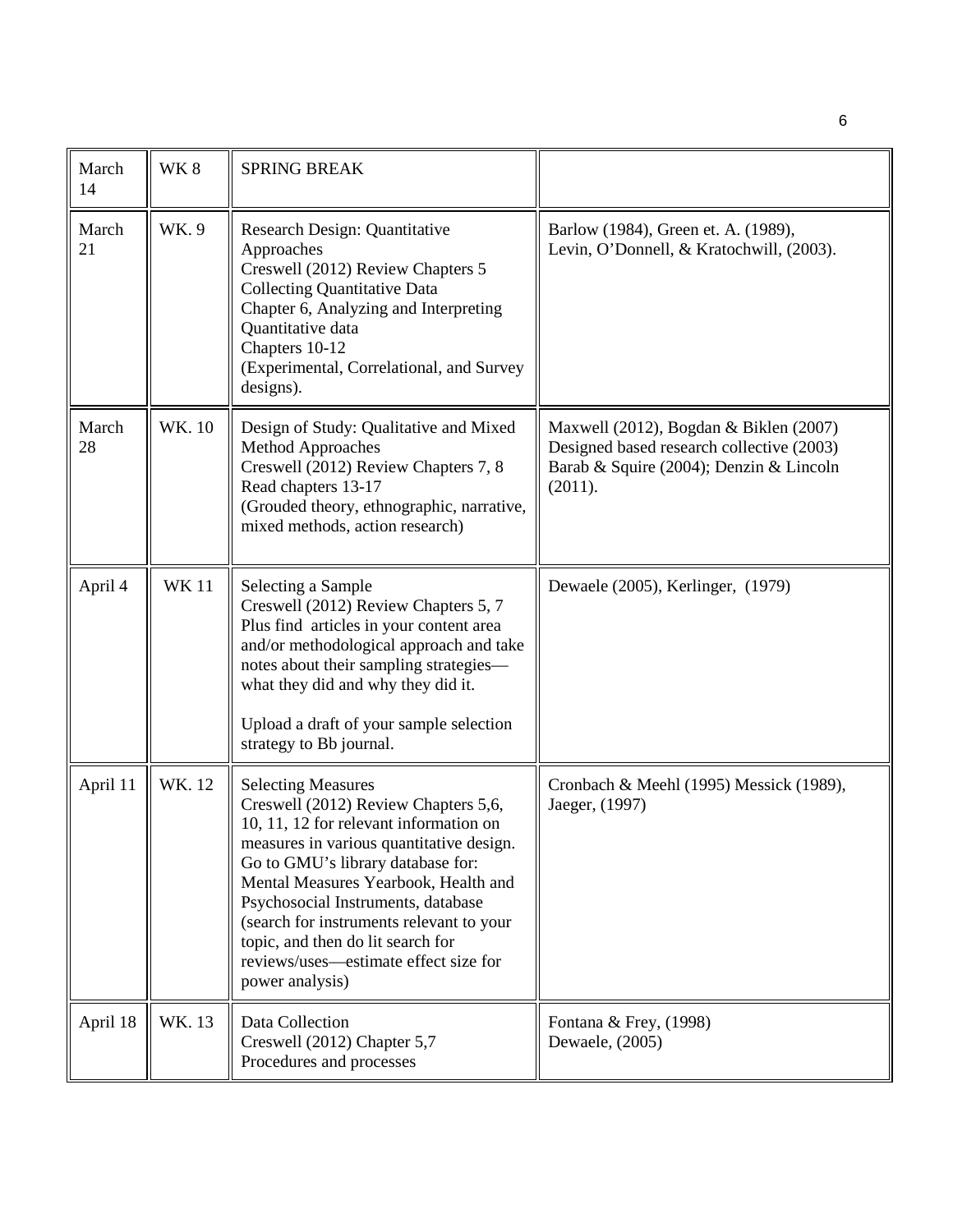| March<br>14 | WK8         | <b>SPRING BREAK</b>                                                                                                                                                                                                                                                                                                                                                                                                     |                                                                                                                                           |
|-------------|-------------|-------------------------------------------------------------------------------------------------------------------------------------------------------------------------------------------------------------------------------------------------------------------------------------------------------------------------------------------------------------------------------------------------------------------------|-------------------------------------------------------------------------------------------------------------------------------------------|
| March<br>21 | WK.9        | Research Design: Quantitative<br>Approaches<br>Creswell (2012) Review Chapters 5<br><b>Collecting Quantitative Data</b><br>Chapter 6, Analyzing and Interpreting<br>Quantitative data<br>Chapters 10-12<br>(Experimental, Correlational, and Survey<br>designs).                                                                                                                                                        | Barlow (1984), Green et. A. (1989),<br>Levin, O'Donnell, & Kratochwill, (2003).                                                           |
| March<br>28 | WK. 10      | Design of Study: Qualitative and Mixed<br>Method Approaches<br>Creswell (2012) Review Chapters 7, 8<br>Read chapters 13-17<br>(Grouded theory, ethnographic, narrative,<br>mixed methods, action research)                                                                                                                                                                                                              | Maxwell (2012), Bogdan & Biklen (2007)<br>Designed based research collective (2003)<br>Barab & Squire (2004); Denzin & Lincoln<br>(2011). |
| April 4     | <b>WK11</b> | Selecting a Sample<br>Creswell (2012) Review Chapters 5, 7<br>Plus find articles in your content area<br>and/or methodological approach and take<br>notes about their sampling strategies-<br>what they did and why they did it.<br>Upload a draft of your sample selection<br>strategy to Bb journal.                                                                                                                  | Dewaele (2005), Kerlinger, (1979)                                                                                                         |
| April 11    | WK. 12      | <b>Selecting Measures</b><br>Creswell (2012) Review Chapters 5,6,<br>10, 11, 12 for relevant information on<br>measures in various quantitative design.<br>Go to GMU's library database for:<br>Mental Measures Yearbook, Health and<br>Psychosocial Instruments, database<br>(search for instruments relevant to your<br>topic, and then do lit search for<br>reviews/uses—estimate effect size for<br>power analysis) | Cronbach & Meehl (1995) Messick (1989),<br>Jaeger, (1997)                                                                                 |
| April 18    | WK. 13      | Data Collection<br>Creswell (2012) Chapter 5,7<br>Procedures and processes                                                                                                                                                                                                                                                                                                                                              | Fontana & Frey, (1998)<br>Dewaele, (2005)                                                                                                 |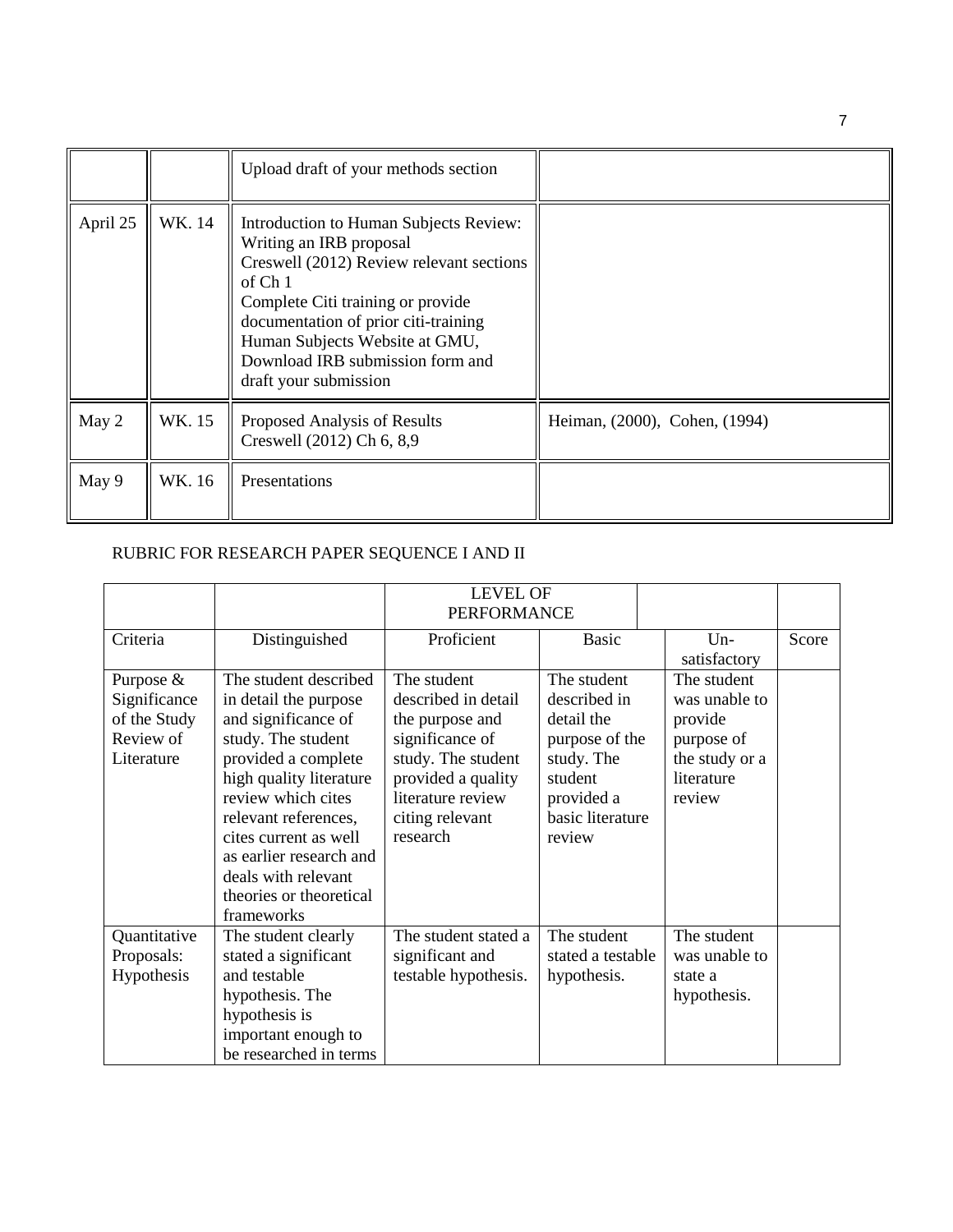|          |        | Upload draft of your methods section                                                                                                                                                                                                                                                                  |                               |
|----------|--------|-------------------------------------------------------------------------------------------------------------------------------------------------------------------------------------------------------------------------------------------------------------------------------------------------------|-------------------------------|
| April 25 | WK. 14 | Introduction to Human Subjects Review:<br>Writing an IRB proposal<br>Creswell (2012) Review relevant sections<br>of $Ch1$<br>Complete Citi training or provide<br>documentation of prior citi-training<br>Human Subjects Website at GMU,<br>Download IRB submission form and<br>draft your submission |                               |
| May 2    | WK. 15 | Proposed Analysis of Results<br>Creswell (2012) Ch 6, 8,9                                                                                                                                                                                                                                             | Heiman, (2000), Cohen, (1994) |
| May 9    | WK. 16 | Presentations                                                                                                                                                                                                                                                                                         |                               |

# RUBRIC FOR RESEARCH PAPER SEQUENCE I AND II

|                                                                      |                                                                                                                                                                                                                                                                                                                 | <b>LEVEL OF</b><br><b>PERFORMANCE</b>                                                                                                                                    |                                                                                                                                  |                                                                                                 |       |
|----------------------------------------------------------------------|-----------------------------------------------------------------------------------------------------------------------------------------------------------------------------------------------------------------------------------------------------------------------------------------------------------------|--------------------------------------------------------------------------------------------------------------------------------------------------------------------------|----------------------------------------------------------------------------------------------------------------------------------|-------------------------------------------------------------------------------------------------|-------|
| Criteria                                                             | Distinguished                                                                                                                                                                                                                                                                                                   | Proficient                                                                                                                                                               | <b>Basic</b>                                                                                                                     | $Un-$<br>satisfactory                                                                           | Score |
| Purpose &<br>Significance<br>of the Study<br>Review of<br>Literature | The student described<br>in detail the purpose<br>and significance of<br>study. The student<br>provided a complete<br>high quality literature<br>review which cites<br>relevant references,<br>cites current as well<br>as earlier research and<br>deals with relevant<br>theories or theoretical<br>frameworks | The student<br>described in detail<br>the purpose and<br>significance of<br>study. The student<br>provided a quality<br>literature review<br>citing relevant<br>research | The student<br>described in<br>detail the<br>purpose of the<br>study. The<br>student<br>provided a<br>basic literature<br>review | The student<br>was unable to<br>provide<br>purpose of<br>the study or a<br>literature<br>review |       |
| Quantitative<br>Proposals:<br>Hypothesis                             | The student clearly<br>stated a significant<br>and testable<br>hypothesis. The<br>hypothesis is<br>important enough to<br>be researched in terms                                                                                                                                                                | The student stated a<br>significant and<br>testable hypothesis.                                                                                                          | The student<br>stated a testable<br>hypothesis.                                                                                  | The student<br>was unable to<br>state a<br>hypothesis.                                          |       |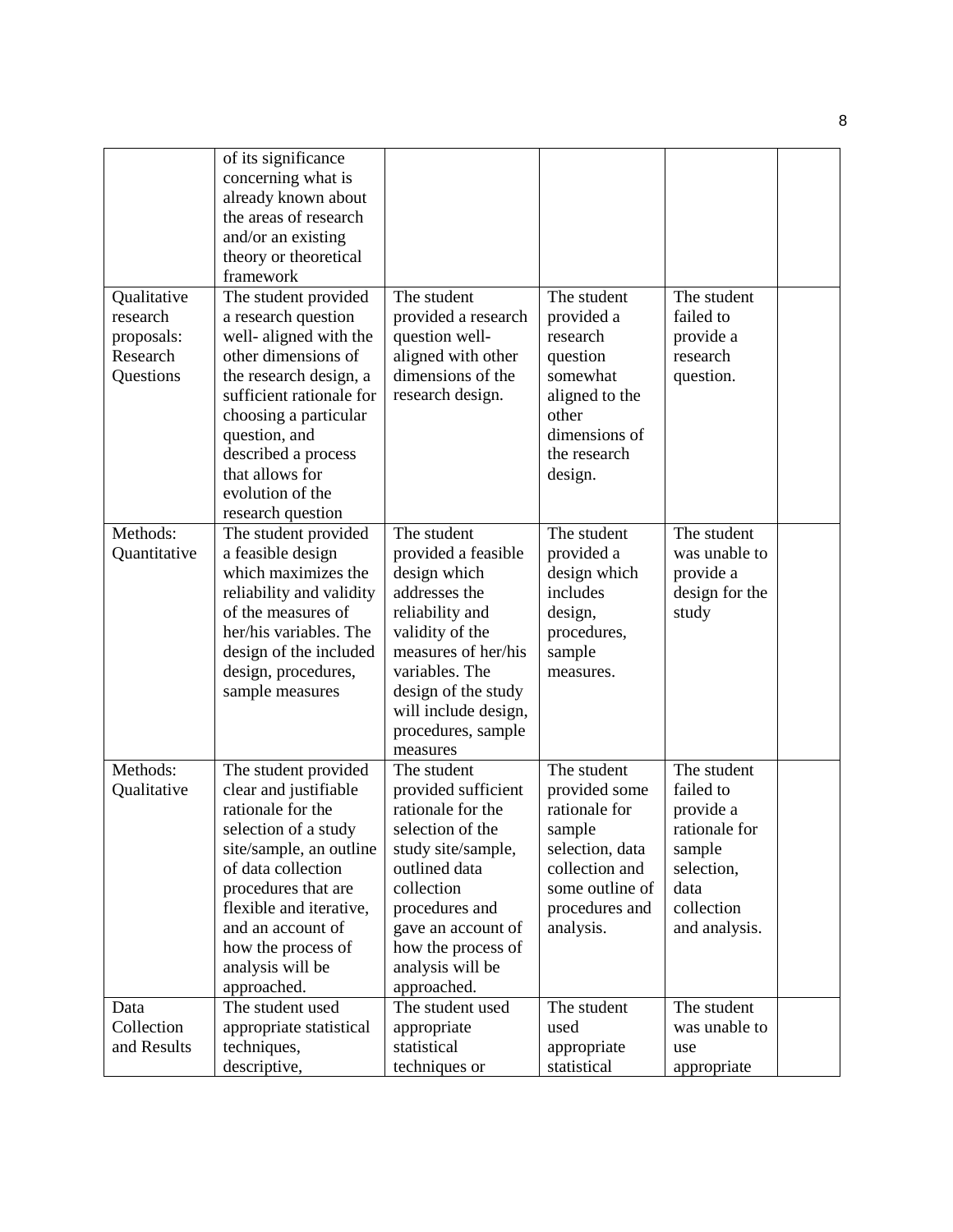|              | of its significance      |                      |                 |                |  |
|--------------|--------------------------|----------------------|-----------------|----------------|--|
|              | concerning what is       |                      |                 |                |  |
|              | already known about      |                      |                 |                |  |
|              | the areas of research    |                      |                 |                |  |
|              | and/or an existing       |                      |                 |                |  |
|              | theory or theoretical    |                      |                 |                |  |
|              | framework                |                      |                 |                |  |
| Qualitative  | The student provided     | The student          | The student     | The student    |  |
| research     | a research question      | provided a research  | provided a      | failed to      |  |
| proposals:   | well- aligned with the   | question well-       | research        | provide a      |  |
| Research     | other dimensions of      | aligned with other   | question        | research       |  |
| Questions    | the research design, a   | dimensions of the    | somewhat        | question.      |  |
|              | sufficient rationale for | research design.     | aligned to the  |                |  |
|              | choosing a particular    |                      | other           |                |  |
|              | question, and            |                      | dimensions of   |                |  |
|              | described a process      |                      | the research    |                |  |
|              | that allows for          |                      | design.         |                |  |
|              | evolution of the         |                      |                 |                |  |
|              | research question        |                      |                 |                |  |
| Methods:     | The student provided     | The student          | The student     | The student    |  |
| Quantitative | a feasible design        | provided a feasible  | provided a      | was unable to  |  |
|              | which maximizes the      | design which         | design which    | provide a      |  |
|              | reliability and validity | addresses the        | includes        | design for the |  |
|              | of the measures of       | reliability and      | design,         | study          |  |
|              | her/his variables. The   | validity of the      | procedures,     |                |  |
|              | design of the included   | measures of her/his  | sample          |                |  |
|              | design, procedures,      | variables. The       | measures.       |                |  |
|              | sample measures          | design of the study  |                 |                |  |
|              |                          | will include design, |                 |                |  |
|              |                          | procedures, sample   |                 |                |  |
|              |                          | measures             |                 |                |  |
| Methods:     | The student provided     | The student          | The student     | The student    |  |
| Qualitative  | clear and justifiable    | provided sufficient  | provided some   | failed to      |  |
|              | rationale for the        | rationale for the    | rationale for   | provide a      |  |
|              | selection of a study     | selection of the     | sample          | rationale for  |  |
|              | site/sample, an outline  | study site/sample,   | selection, data | sample         |  |
|              | of data collection       | outlined data        | collection and  | selection,     |  |
|              | procedures that are      | collection           | some outline of | data           |  |
|              | flexible and iterative,  | procedures and       | procedures and  | collection     |  |
|              | and an account of        | gave an account of   | analysis.       | and analysis.  |  |
|              | how the process of       | how the process of   |                 |                |  |
|              | analysis will be         | analysis will be     |                 |                |  |
|              | approached.              | approached.          |                 |                |  |
| Data         | The student used         | The student used     | The student     | The student    |  |
| Collection   | appropriate statistical  | appropriate          | used            | was unable to  |  |
| and Results  | techniques,              | statistical          | appropriate     | use            |  |
|              |                          | techniques or        | statistical     |                |  |
|              | descriptive,             |                      |                 | appropriate    |  |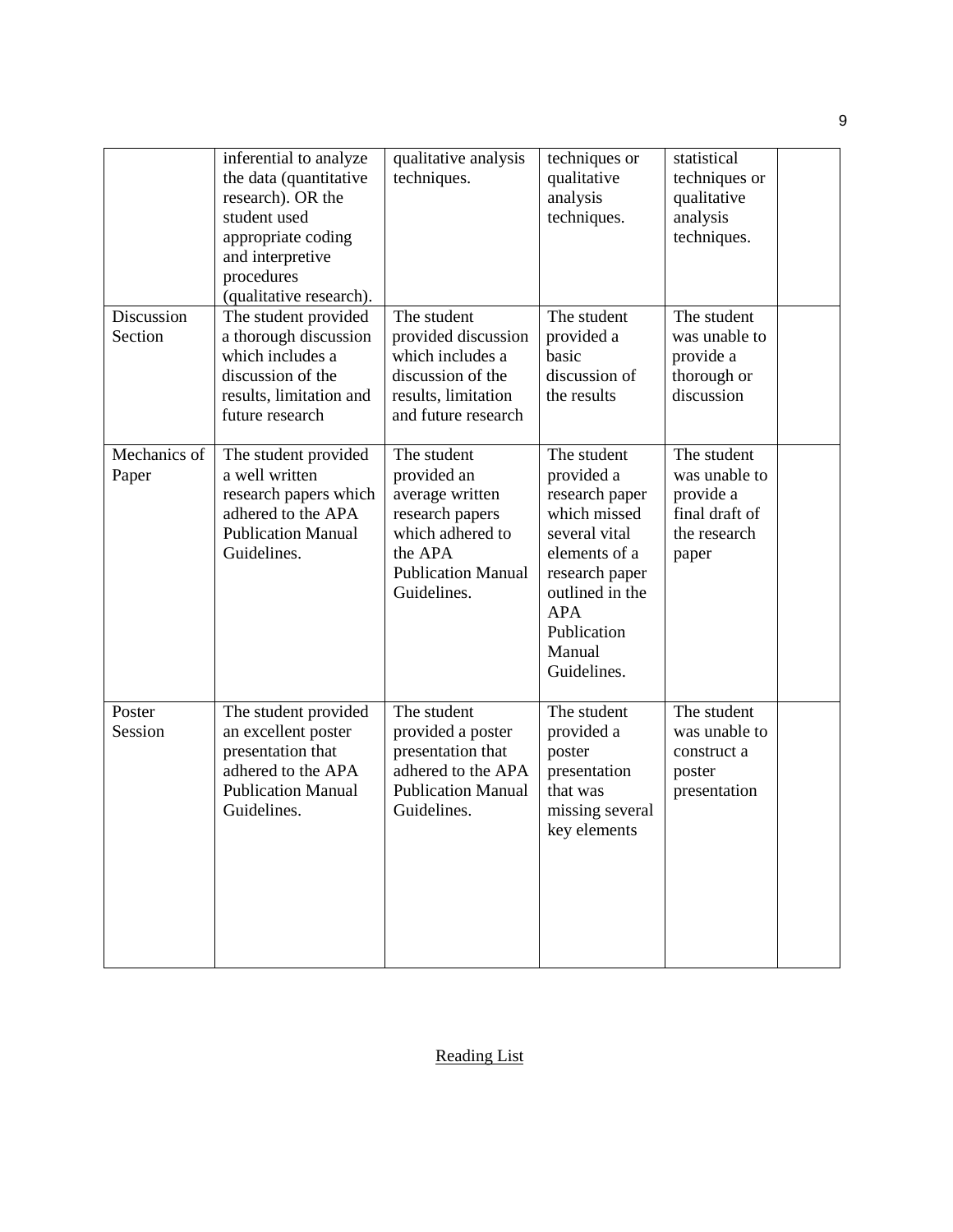|                       | inferential to analyze<br>the data (quantitative<br>research). OR the<br>student used<br>appropriate coding<br>and interpretive<br>procedures<br>(qualitative research). | qualitative analysis<br>techniques.                                                                                                         | techniques or<br>qualitative<br>analysis<br>techniques.                                                                                                                                  | statistical<br>techniques or<br>qualitative<br>analysis<br>techniques.               |  |
|-----------------------|--------------------------------------------------------------------------------------------------------------------------------------------------------------------------|---------------------------------------------------------------------------------------------------------------------------------------------|------------------------------------------------------------------------------------------------------------------------------------------------------------------------------------------|--------------------------------------------------------------------------------------|--|
| Discussion<br>Section | The student provided<br>a thorough discussion<br>which includes a<br>discussion of the<br>results, limitation and<br>future research                                     | The student<br>provided discussion<br>which includes a<br>discussion of the<br>results, limitation<br>and future research                   | The student<br>provided a<br>basic<br>discussion of<br>the results                                                                                                                       | The student<br>was unable to<br>provide a<br>thorough or<br>discussion               |  |
| Mechanics of<br>Paper | The student provided<br>a well written<br>research papers which<br>adhered to the APA<br><b>Publication Manual</b><br>Guidelines.                                        | The student<br>provided an<br>average written<br>research papers<br>which adhered to<br>the APA<br><b>Publication Manual</b><br>Guidelines. | The student<br>provided a<br>research paper<br>which missed<br>several vital<br>elements of a<br>research paper<br>outlined in the<br><b>APA</b><br>Publication<br>Manual<br>Guidelines. | The student<br>was unable to<br>provide a<br>final draft of<br>the research<br>paper |  |
| Poster<br>Session     | The student provided<br>an excellent poster<br>presentation that<br>adhered to the APA<br><b>Publication Manual</b><br>Guidelines.                                       | The student<br>provided a poster<br>presentation that<br>adhered to the APA<br><b>Publication Manual</b><br>Guidelines.                     | The student<br>provided a<br>poster<br>presentation<br>that was<br>missing several<br>key elements                                                                                       | The student<br>was unable to<br>construct a<br>poster<br>presentation                |  |

9

Reading List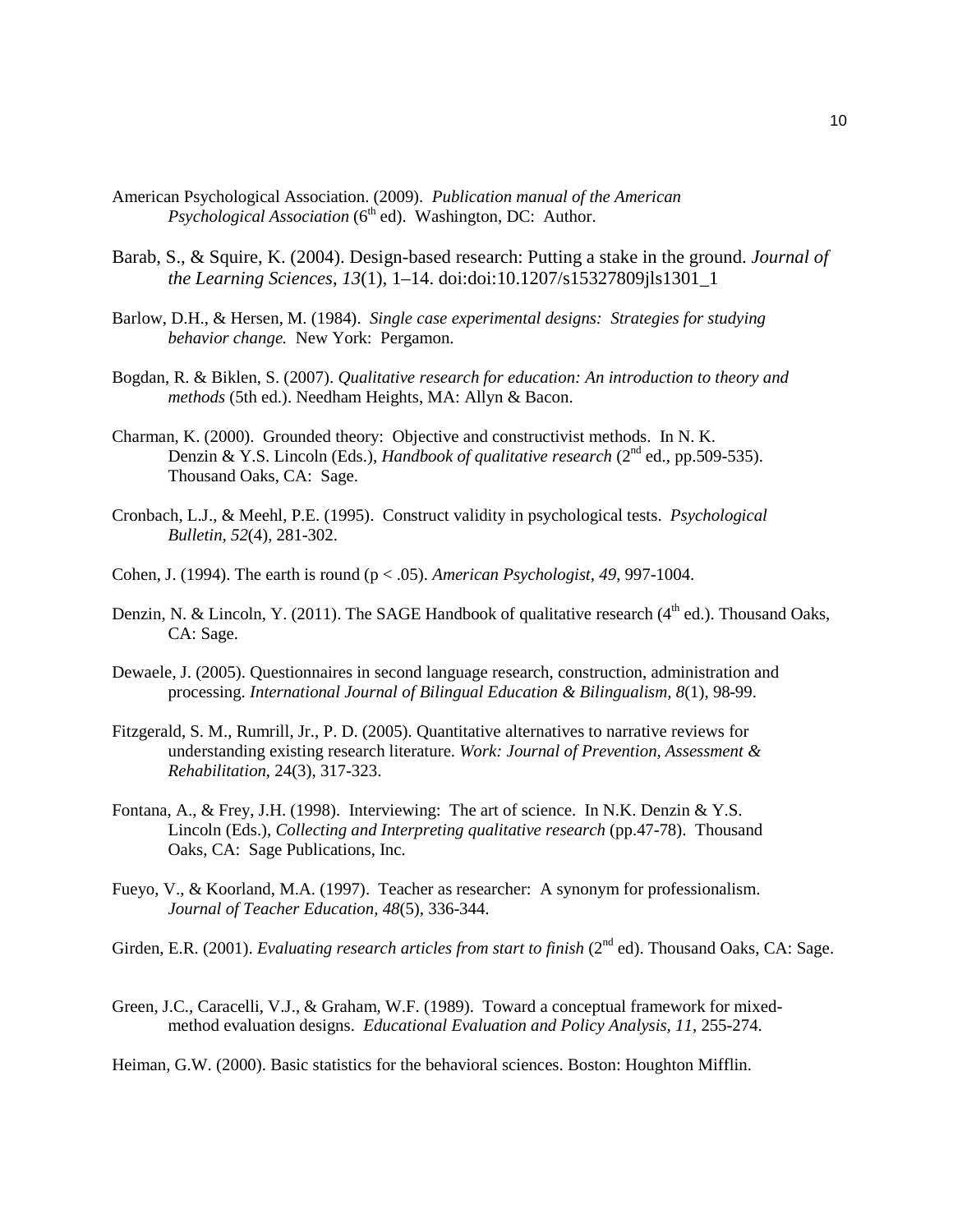- American Psychological Association. (2009). *Publication manual of the American Psychological Association* (6<sup>th</sup> ed). Washington, DC: Author.
- Barab, S., & Squire, K. (2004). Design-based research: Putting a stake in the ground. *Journal of the Learning Sciences*, *13*(1), 1–14. doi:doi:10.1207/s15327809jls1301\_1
- Barlow, D.H., & Hersen, M. (1984). *Single case experimental designs: Strategies for studying behavior change.* New York: Pergamon.
- Bogdan, R. & Biklen, S. (2007). *Qualitative research for education: An introduction to theory and methods* (5th ed.). Needham Heights, MA: Allyn & Bacon.
- Charman, K. (2000). Grounded theory: Objective and constructivist methods. In N. K. Denzin & Y.S. Lincoln (Eds.), *Handbook of qualitative research* (2<sup>nd</sup> ed., pp.509-535). Thousand Oaks, CA: Sage.
- Cronbach, L.J., & Meehl, P.E. (1995). Construct validity in psychological tests. *Psychological Bulletin, 52*(4), 281-302.
- Cohen, J. (1994). The earth is round (p < .05). *American Psychologist, 49*, 997-1004.
- Denzin, N. & Lincoln, Y. (2011). The SAGE Handbook of qualitative research (4<sup>th</sup> ed.). Thousand Oaks, CA: Sage.
- Dewaele, J. (2005). Questionnaires in second language research, construction, administration and processing. *International Journal of Bilingual Education & Bilingualism, 8*(1), 98-99.
- Fitzgerald, S. M., Rumrill, Jr., P. D. (2005). Quantitative alternatives to narrative reviews for understanding existing research literature. *Work: Journal of Prevention, Assessment & Rehabilitation*, 24(3), 317-323.
- Fontana, A., & Frey, J.H. (1998). Interviewing: The art of science. In N.K. Denzin & Y.S. Lincoln (Eds.), *Collecting and Interpreting qualitative research* (pp.47-78). Thousand Oaks, CA: Sage Publications, Inc.
- Fueyo, V., & Koorland, M.A. (1997). Teacher as researcher: A synonym for professionalism. *Journal of Teacher Education, 48*(5), 336-344.
- Girden, E.R. (2001). *Evaluating research articles from start to finish* (2<sup>nd</sup> ed). Thousand Oaks, CA: Sage.
- Green, J.C., Caracelli, V.J., & Graham, W.F. (1989). Toward a conceptual framework for mixedmethod evaluation designs. *Educational Evaluation and Policy Analysis, 11*, 255-274.

Heiman, G.W. (2000). Basic statistics for the behavioral sciences. Boston: Houghton Mifflin.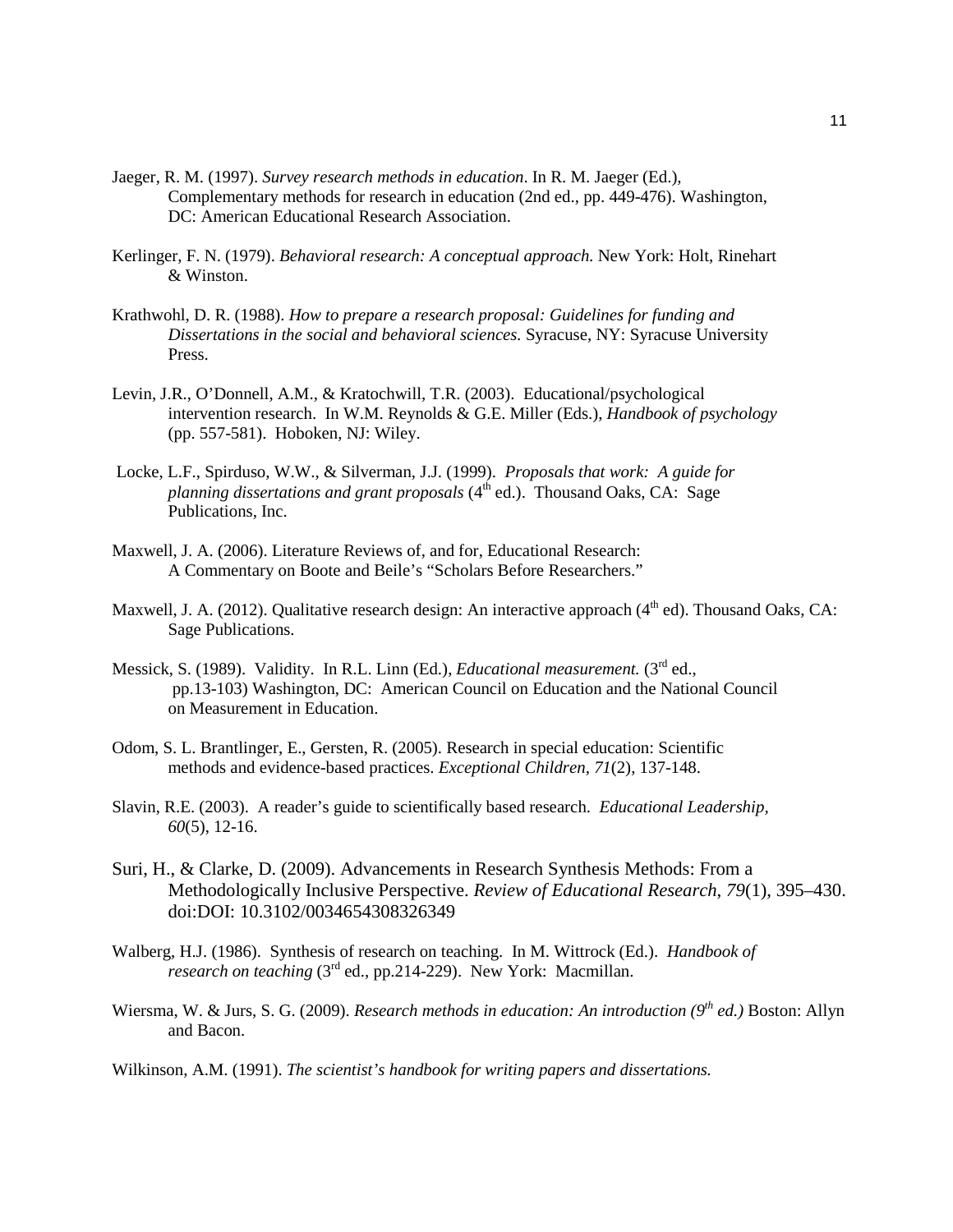- Jaeger, R. M. (1997). *Survey research methods in education*. In R. M. Jaeger (Ed.), Complementary methods for research in education (2nd ed., pp. 449-476). Washington, DC: American Educational Research Association.
- Kerlinger, F. N. (1979). *Behavioral research: A conceptual approach.* New York: Holt, Rinehart & Winston.
- Krathwohl, D. R. (1988). *How to prepare a research proposal: Guidelines for funding and Dissertations in the social and behavioral sciences.* Syracuse, NY: Syracuse University Press.
- Levin, J.R., O'Donnell, A.M., & Kratochwill, T.R. (2003). Educational/psychological intervention research. In W.M. Reynolds & G.E. Miller (Eds.), *Handbook of psychology* (pp. 557-581). Hoboken, NJ: Wiley.
- Locke, L.F., Spirduso, W.W., & Silverman, J.J. (1999). *Proposals that work: A guide for planning dissertations and grant proposals* (4<sup>th</sup> ed.). Thousand Oaks, CA: Sage Publications, Inc.
- Maxwell, J. A. (2006). Literature Reviews of, and for, Educational Research: A Commentary on Boote and Beile's "Scholars Before Researchers."
- Maxwell, J. A. (2012). Qualitative research design: An interactive approach  $(4<sup>th</sup>$  ed). Thousand Oaks, CA: Sage Publications.
- Messick, S. (1989). Validity. In R.L. Linn (Ed.), *Educational measurement*. (3<sup>rd</sup> ed., pp.13-103) Washington, DC: American Council on Education and the National Council on Measurement in Education.
- Odom, S. L. Brantlinger, E., Gersten, R. (2005). Research in special education: Scientific methods and evidence-based practices. *Exceptional Children, 71*(2), 137-148.
- Slavin, R.E. (2003). A reader's guide to scientifically based research. *Educational Leadership, 60*(5), 12-16.
- Suri, H., & Clarke, D. (2009). Advancements in Research Synthesis Methods: From a Methodologically Inclusive Perspective. *Review of Educational Research*, *79*(1), 395–430. doi:DOI: 10.3102/0034654308326349
- Walberg, H.J. (1986). Synthesis of research on teaching. In M. Wittrock (Ed.). *Handbook of research on teaching* (3<sup>rd</sup> ed., pp.214-229). New York: Macmillan.
- Wiersma, W. & Jurs, S. G. (2009). *Research methods in education: An introduction (9<sup>th</sup> ed.)* Boston: Allyn and Bacon.

Wilkinson, A.M. (1991). *The scientist's handbook for writing papers and dissertations.*